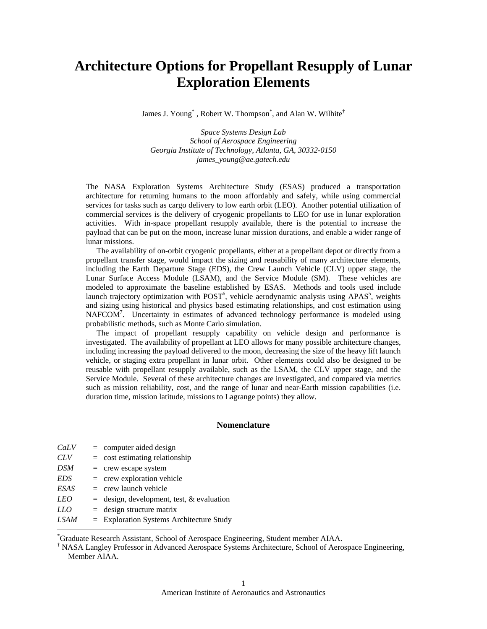# **Architecture Options for Propellant Resupply of Lunar Exploration Elements**

James J. Young<sup>\*</sup>, Robert W. Thompson<sup>\*</sup>, and Alan W. Wilhite<sup>†</sup>

*Space Systems Design Lab School of Aerospace Engineering Georgia Institute of Technology, Atlanta, GA, 30332-0150 james\_young@ae.gatech.edu* 

The NASA Exploration Systems Architecture Study (ESAS) produced a transportation architecture for returning humans to the moon affordably and safely, while using commercial services for tasks such as cargo delivery to low earth orbit (LEO). Another potential utilization of commercial services is the delivery of cryogenic propellants to LEO for use in lunar exploration activities. With in-space propellant resupply available, there is the potential to increase the payload that can be put on the moon, increase lunar mission durations, and enable a wider range of lunar missions.

The availability of on-orbit cryogenic propellants, either at a propellant depot or directly from a propellant transfer stage, would impact the sizing and reusability of many architecture elements, including the Earth Departure Stage (EDS), the Crew Launch Vehicle (CLV) upper stage, the Lunar Surface Access Module (LSAM), and the Service Module (SM). These vehicles are modeled to approximate the baseline established by ESAS. Methods and tools used include launch trajectory optimization with  $POST<sup>6</sup>$ , vehicle aerodynamic analysis using  $APAS<sup>5</sup>$ , weights and sizing using historical and physics based estimating relationships, and cost estimation using NAFCOM<sup>7</sup>. Uncertainty in estimates of advanced technology performance is modeled using probabilistic methods, such as Monte Carlo simulation.

The impact of propellant resupply capability on vehicle design and performance is investigated. The availability of propellant at LEO allows for many possible architecture changes, including increasing the payload delivered to the moon, decreasing the size of the heavy lift launch vehicle, or staging extra propellant in lunar orbit. Other elements could also be designed to be reusable with propellant resupply available, such as the LSAM, the CLV upper stage, and the Service Module. Several of these architecture changes are investigated, and compared via metrics such as mission reliability, cost, and the range of lunar and near-Earth mission capabilities (i.e. duration time, mission latitude, missions to Lagrange points) they allow.

### **Nomenclature**

| <b>CULV</b> | $-$ computer and $\alpha$ design            |
|-------------|---------------------------------------------|
| <i>CLV</i>  | $=$ cost estimating relationship            |
| <b>DSM</b>  | $=$ crew escape system                      |
| <i>EDS</i>  | $=$ crew exploration vehicle                |
| <b>ESAS</b> | $=$ crew launch vehicle                     |
| <i>LEO</i>  | $=$ design, development, test, & evaluation |
| LLO         | $=$ design structure matrix                 |
| <i>LSAM</i> | $=$ Exploration Systems Architecture Study  |

*CaLV* = computer aided design

 $\overline{a}$ 

\* Graduate Research Assistant, School of Aerospace Engineering, Student member AIAA.

† NASA Langley Professor in Advanced Aerospace Systems Architecture, School of Aerospace Engineering, Member AIAA.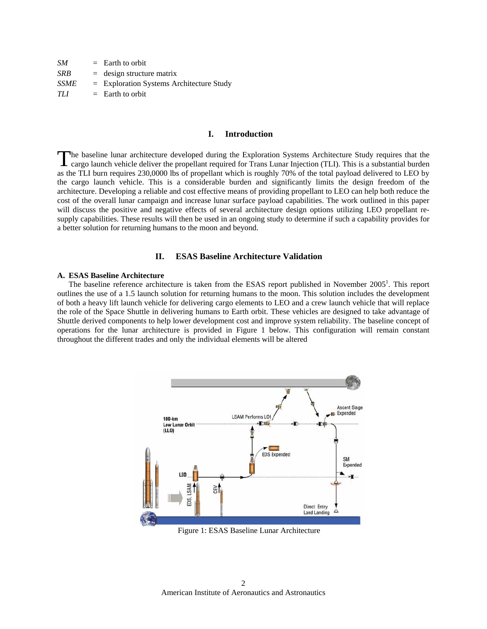| <b>SM</b>  | $=$ Earth to orbit                         |
|------------|--------------------------------------------|
| <b>SRB</b> | $=$ design structure matrix                |
| SSME       | $=$ Exploration Systems Architecture Study |
| TLI        | $=$ Earth to orbit                         |

#### **I. Introduction**

The baseline lunar architecture developed during the Exploration Systems Architecture Study requires that the cargo launch vehicle deliver the propellant required for Trans Lunar Injection (TLI). This is a substantial burd cargo launch vehicle deliver the propellant required for Trans Lunar Injection (TLI). This is a substantial burden as the TLI burn requires 230,0000 lbs of propellant which is roughly 70% of the total payload delivered to LEO by the cargo launch vehicle. This is a considerable burden and significantly limits the design freedom of the architecture. Developing a reliable and cost effective means of providing propellant to LEO can help both reduce the cost of the overall lunar campaign and increase lunar surface payload capabilities. The work outlined in this paper will discuss the positive and negative effects of several architecture design options utilizing LEO propellant resupply capabilities. These results will then be used in an ongoing study to determine if such a capability provides for a better solution for returning humans to the moon and beyond.

# **II. ESAS Baseline Architecture Validation**

# **A. ESAS Baseline Architecture**

The baseline reference architecture is taken from the ESAS report published in November 2005<sup>1</sup>. This report outlines the use of a 1.5 launch solution for returning humans to the moon. This solution includes the development of both a heavy lift launch vehicle for delivering cargo elements to LEO and a crew launch vehicle that will replace the role of the Space Shuttle in delivering humans to Earth orbit. These vehicles are designed to take advantage of Shuttle derived components to help lower development cost and improve system reliability. The baseline concept of operations for the lunar architecture is provided in Figure 1 below. This configuration will remain constant throughout the different trades and only the individual elements will be altered



Figure 1: ESAS Baseline Lunar Architecture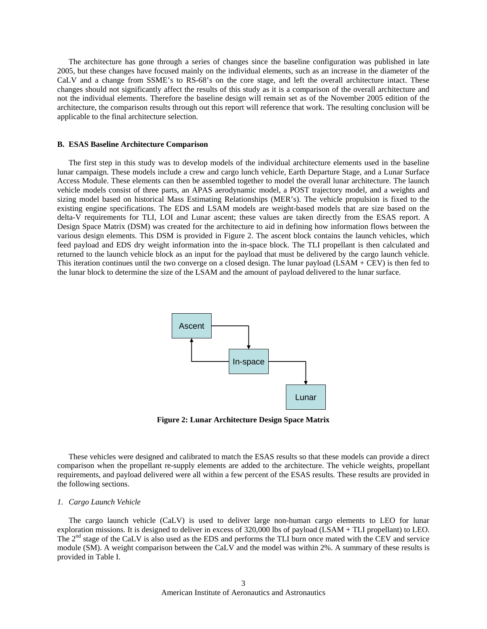The architecture has gone through a series of changes since the baseline configuration was published in late 2005, but these changes have focused mainly on the individual elements, such as an increase in the diameter of the CaLV and a change from SSME's to RS-68's on the core stage, and left the overall architecture intact. These changes should not significantly affect the results of this study as it is a comparison of the overall architecture and not the individual elements. Therefore the baseline design will remain set as of the November 2005 edition of the architecture, the comparison results through out this report will reference that work. The resulting conclusion will be applicable to the final architecture selection.

### **B. ESAS Baseline Architecture Comparison**

The first step in this study was to develop models of the individual architecture elements used in the baseline lunar campaign. These models include a crew and cargo lunch vehicle, Earth Departure Stage, and a Lunar Surface Access Module. These elements can then be assembled together to model the overall lunar architecture. The launch vehicle models consist of three parts, an APAS aerodynamic model, a POST trajectory model, and a weights and sizing model based on historical Mass Estimating Relationships (MER's). The vehicle propulsion is fixed to the existing engine specifications. The EDS and LSAM models are weight-based models that are size based on the delta-V requirements for TLI, LOI and Lunar ascent; these values are taken directly from the ESAS report. A Design Space Matrix (DSM) was created for the architecture to aid in defining how information flows between the various design elements. This DSM is provided in Figure 2. The ascent block contains the launch vehicles, which feed payload and EDS dry weight information into the in-space block. The TLI propellant is then calculated and returned to the launch vehicle block as an input for the payload that must be delivered by the cargo launch vehicle. This iteration continues until the two converge on a closed design. The lunar payload (LSAM  $+$  CEV) is then fed to the lunar block to determine the size of the LSAM and the amount of payload delivered to the lunar surface.



**Figure 2: Lunar Architecture Design Space Matrix** 

These vehicles were designed and calibrated to match the ESAS results so that these models can provide a direct comparison when the propellant re-supply elements are added to the architecture. The vehicle weights, propellant requirements, and payload delivered were all within a few percent of the ESAS results. These results are provided in the following sections.

### *1. Cargo Launch Vehicle*

The cargo launch vehicle (CaLV) is used to deliver large non-human cargo elements to LEO for lunar exploration missions. It is designed to deliver in excess of 320,000 lbs of payload (LSAM + TLI propellant) to LEO. The 2<sup>nd</sup> stage of the CaLV is also used as the EDS and performs the TLI burn once mated with the CEV and service module (SM). A weight comparison between the CaLV and the model was within 2%. A summary of these results is provided in Table I.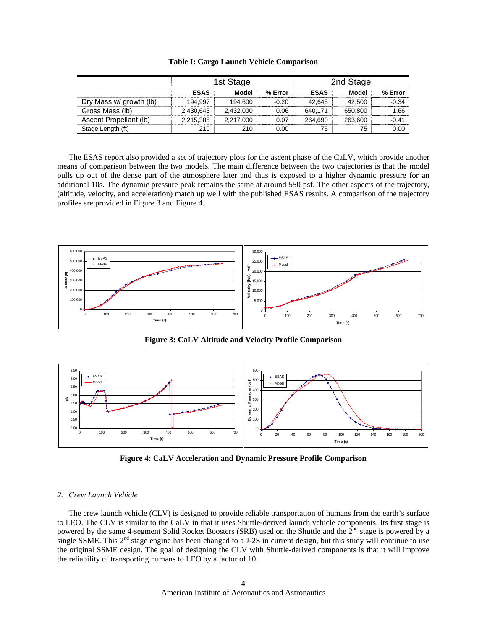|                         | 1st Stage   |           |         | 2nd Stage   |         |         |
|-------------------------|-------------|-----------|---------|-------------|---------|---------|
|                         | <b>ESAS</b> | Model     | % Error | <b>ESAS</b> | Model   | % Error |
| Dry Mass w/ growth (lb) | 194.997     | 194.600   | $-0.20$ | 42.645      | 42.500  | $-0.34$ |
| Gross Mass (lb)         | 2,430,643   | 2,432,000 | 0.06    | 640.171     | 650.800 | 1.66    |
| Ascent Propellant (lb)  | 2,215,385   | 2,217,000 | 0.07    | 264.690     | 263,600 | $-0.41$ |
| Stage Length (ft)       | 210         | 210       | 0.00    | 75          | 75      | 0.00    |

**Table I: Cargo Launch Vehicle Comparison** 

The ESAS report also provided a set of trajectory plots for the ascent phase of the CaLV, which provide another means of comparison between the two models. The main difference between the two trajectories is that the model pulls up out of the dense part of the atmosphere later and thus is exposed to a higher dynamic pressure for an additional 10s. The dynamic pressure peak remains the same at around 550 psf. The other aspects of the trajectory, (altitude, velocity, and acceleration) match up well with the published ESAS results. A comparison of the trajectory profiles are provided in Figure 3 and Figure 4.



**Figure 3: CaLV Altitude and Velocity Profile Comparison** 



**Figure 4: CaLV Acceleration and Dynamic Pressure Profile Comparison** 

### *2. Crew Launch Vehicle*

The crew launch vehicle (CLV) is designed to provide reliable transportation of humans from the earth's surface to LEO. The CLV is similar to the CaLV in that it uses Shuttle-derived launch vehicle components. Its first stage is powered by the same 4-segment Solid Rocket Boosters (SRB) used on the Shuttle and the 2<sup>nd</sup> stage is powered by a single SSME. This  $2<sup>nd</sup>$  stage engine has been changed to a J-2S in current design, but this study will continue to use the original SSME design. The goal of designing the CLV with Shuttle-derived components is that it will improve the reliability of transporting humans to LEO by a factor of 10.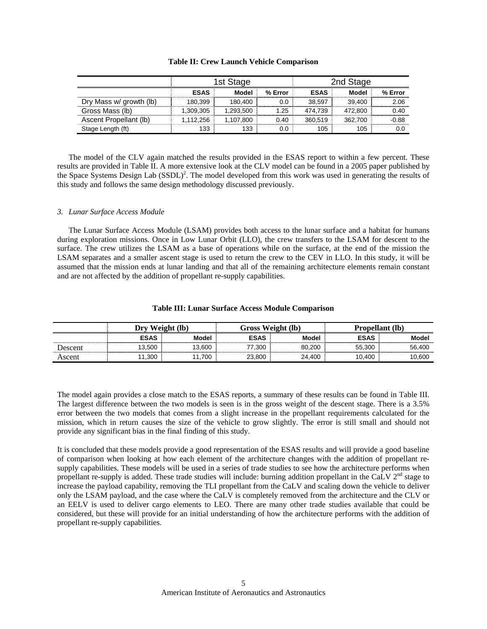|                         | 1st Stage   |           |         | 2nd Stage   |              |         |
|-------------------------|-------------|-----------|---------|-------------|--------------|---------|
|                         | <b>ESAS</b> | Model     | % Error | <b>ESAS</b> | <b>Model</b> | % Error |
| Dry Mass w/ growth (lb) | 180,399     | 180.400   | 0.0     | 38.597      | 39.400       | 2.06    |
| Gross Mass (lb)         | 1,309,305   | 1.293.500 | 1.25    | 474.739     | 472.800      | 0.40    |
| Ascent Propellant (Ib)  | 1.112.256   | 1,107,800 | 0.40    | 360.519     | 362,700      | $-0.88$ |
| Stage Length (ft)       | 133         | 133       | 0.0     | 105         | 105          | 0.0     |

### **Table II: Crew Launch Vehicle Comparison**

The model of the CLV again matched the results provided in the ESAS report to within a few percent. These results are provided in Table II. A more extensive look at the CLV model can be found in a 2005 paper published by the Space Systems Design Lab (SSDL)<sup>2</sup>. The model developed from this work was used in generating the results of this study and follows the same design methodology discussed previously.

# *3. Lunar Surface Access Module*

The Lunar Surface Access Module (LSAM) provides both access to the lunar surface and a habitat for humans during exploration missions. Once in Low Lunar Orbit (LLO), the crew transfers to the LSAM for descent to the surface. The crew utilizes the LSAM as a base of operations while on the surface, at the end of the mission the LSAM separates and a smaller ascent stage is used to return the crew to the CEV in LLO. In this study, it will be assumed that the mission ends at lunar landing and that all of the remaining architecture elements remain constant and are not affected by the addition of propellant re-supply capabilities.

|         | Weight (lb)<br>Drv |        | Gross Weight (lb) |              | Propellant (lb) |        |
|---------|--------------------|--------|-------------------|--------------|-----------------|--------|
|         | <b>ESAS</b>        | Model  | <b>ESAS</b>       | <b>Model</b> | <b>ESAS</b>     | Model  |
| Descent | 13.500             | 13.600 | 77,300            | 80.200       | 55.300          | 56.400 |
| Ascent  | 11,300             | 11,700 | 23,800            | 24,400       | 10.400          | 10,600 |

### **Table III: Lunar Surface Access Module Comparison**

The model again provides a close match to the ESAS reports, a summary of these results can be found in Table III. The largest difference between the two models is seen is in the gross weight of the descent stage. There is a 3.5% error between the two models that comes from a slight increase in the propellant requirements calculated for the mission, which in return causes the size of the vehicle to grow slightly. The error is still small and should not provide any significant bias in the final finding of this study.

It is concluded that these models provide a good representation of the ESAS results and will provide a good baseline of comparison when looking at how each element of the architecture changes with the addition of propellant resupply capabilities. These models will be used in a series of trade studies to see how the architecture performs when propellant re-supply is added. These trade studies will include: burning addition propellant in the CaLV  $2<sup>nd</sup>$  stage to increase the payload capability, removing the TLI propellant from the CaLV and scaling down the vehicle to deliver only the LSAM payload, and the case where the CaLV is completely removed from the architecture and the CLV or an EELV is used to deliver cargo elements to LEO. There are many other trade studies available that could be considered, but these will provide for an initial understanding of how the architecture performs with the addition of propellant re-supply capabilities.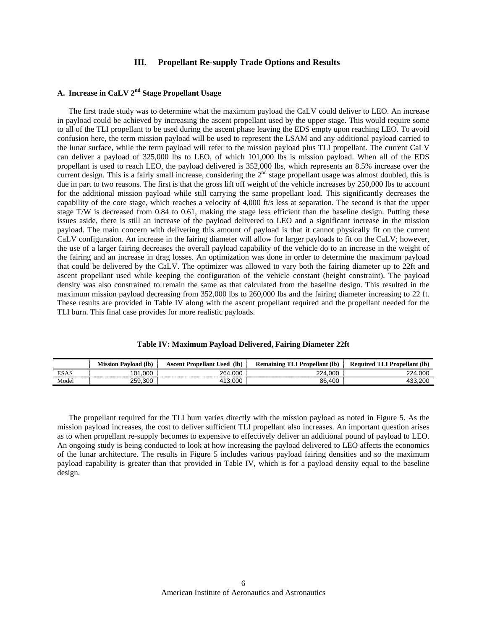# **III. Propellant Re-supply Trade Options and Results**

# **A. Increase in CaLV 2nd Stage Propellant Usage**

The first trade study was to determine what the maximum payload the CaLV could deliver to LEO. An increase in payload could be achieved by increasing the ascent propellant used by the upper stage. This would require some to all of the TLI propellant to be used during the ascent phase leaving the EDS empty upon reaching LEO. To avoid confusion here, the term mission payload will be used to represent the LSAM and any additional payload carried to the lunar surface, while the term payload will refer to the mission payload plus TLI propellant. The current CaLV can deliver a payload of 325,000 lbs to LEO, of which 101,000 lbs is mission payload. When all of the EDS propellant is used to reach LEO, the payload delivered is 352,000 lbs, which represents an 8.5% increase over the current design. This is a fairly small increase, considering the  $2<sup>nd</sup>$  stage propellant usage was almost doubled, this is due in part to two reasons. The first is that the gross lift off weight of the vehicle increases by 250,000 lbs to account for the additional mission payload while still carrying the same propellant load. This significantly decreases the capability of the core stage, which reaches a velocity of 4,000 ft/s less at separation. The second is that the upper stage T/W is decreased from 0.84 to 0.61, making the stage less efficient than the baseline design. Putting these issues aside, there is still an increase of the payload delivered to LEO and a significant increase in the mission payload. The main concern with delivering this amount of payload is that it cannot physically fit on the current CaLV configuration. An increase in the fairing diameter will allow for larger payloads to fit on the CaLV; however, the use of a larger fairing decreases the overall payload capability of the vehicle do to an increase in the weight of the fairing and an increase in drag losses. An optimization was done in order to determine the maximum payload that could be delivered by the CaLV. The optimizer was allowed to vary both the fairing diameter up to 22ft and ascent propellant used while keeping the configuration of the vehicle constant (height constraint). The payload density was also constrained to remain the same as that calculated from the baseline design. This resulted in the maximum mission payload decreasing from 352,000 lbs to 260,000 lbs and the fairing diameter increasing to 22 ft. These results are provided in Table IV along with the ascent propellant required and the propellant needed for the TLI burn. This final case provides for more realistic payloads.

|  | Table IV: Maximum Payload Delivered, Fairing Diameter 22ft |  |
|--|------------------------------------------------------------|--|
|  |                                                            |  |

|       | <b>Mission Pavload (lb)</b> | $(lb)$<br><b>Propellant</b><br>Used<br>Ascent | <b>Remaining TLI Propellant</b><br>(lb) | <b>Required TLI</b><br>Propellant (lb) |
|-------|-----------------------------|-----------------------------------------------|-----------------------------------------|----------------------------------------|
| ESAS  | 01.000                      | 000.1<br>264.                                 | .000<br>224.                            | 224.000                                |
| Model | 300<br>259                  | .000                                          | 86.400                                  | 433.200                                |
|       |                             |                                               |                                         |                                        |

The propellant required for the TLI burn varies directly with the mission payload as noted in Figure 5. As the mission payload increases, the cost to deliver sufficient TLI propellant also increases. An important question arises as to when propellant re-supply becomes to expensive to effectively deliver an additional pound of payload to LEO. An ongoing study is being conducted to look at how increasing the payload delivered to LEO affects the economics of the lunar architecture. The results in Figure 5 includes various payload fairing densities and so the maximum payload capability is greater than that provided in Table IV, which is for a payload density equal to the baseline design.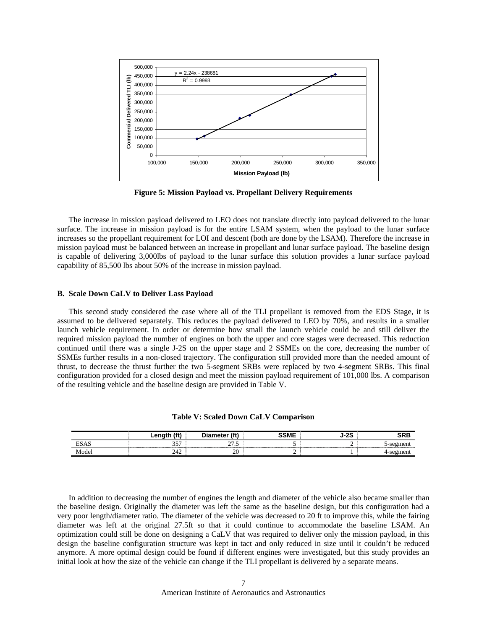

**Figure 5: Mission Payload vs. Propellant Delivery Requirements** 

The increase in mission payload delivered to LEO does not translate directly into payload delivered to the lunar surface. The increase in mission payload is for the entire LSAM system, when the payload to the lunar surface increases so the propellant requirement for LOI and descent (both are done by the LSAM). Therefore the increase in mission payload must be balanced between an increase in propellant and lunar surface payload. The baseline design is capable of delivering 3,000lbs of payload to the lunar surface this solution provides a lunar surface payload capability of 85,500 lbs about 50% of the increase in mission payload.

### **B. Scale Down CaLV to Deliver Lass Payload**

This second study considered the case where all of the TLI propellant is removed from the EDS Stage, it is assumed to be delivered separately. This reduces the payload delivered to LEO by 70%, and results in a smaller launch vehicle requirement. In order or determine how small the launch vehicle could be and still deliver the required mission payload the number of engines on both the upper and core stages were decreased. This reduction continued until there was a single J-2S on the upper stage and 2 SSMEs on the core, decreasing the number of SSMEs further results in a non-closed trajectory. The configuration still provided more than the needed amount of thrust, to decrease the thrust further the two 5-segment SRBs were replaced by two 4-segment SRBs. This final configuration provided for a closed design and meet the mission payload requirement of 101,000 lbs. A comparison of the resulting vehicle and the baseline design are provided in Table V.

#### **Table V: Scaled Down CaLV Comparison**

|              |                 |                    | ----- | ~~ |  |
|--------------|-----------------|--------------------|-------|----|--|
| $\mathbf{r}$ | $\sim$ $-$<br>ັ | - -<br>ر.          |       |    |  |
| √ode         | 242             | $\mathbf{r}$<br>∠∪ |       |    |  |

In addition to decreasing the number of engines the length and diameter of the vehicle also became smaller than the baseline design. Originally the diameter was left the same as the baseline design, but this configuration had a very poor length/diameter ratio. The diameter of the vehicle was decreased to 20 ft to improve this, while the fairing diameter was left at the original 27.5ft so that it could continue to accommodate the baseline LSAM. An optimization could still be done on designing a CaLV that was required to deliver only the mission payload, in this design the baseline configuration structure was kept in tact and only reduced in size until it couldn't be reduced anymore. A more optimal design could be found if different engines were investigated, but this study provides an initial look at how the size of the vehicle can change if the TLI propellant is delivered by a separate means.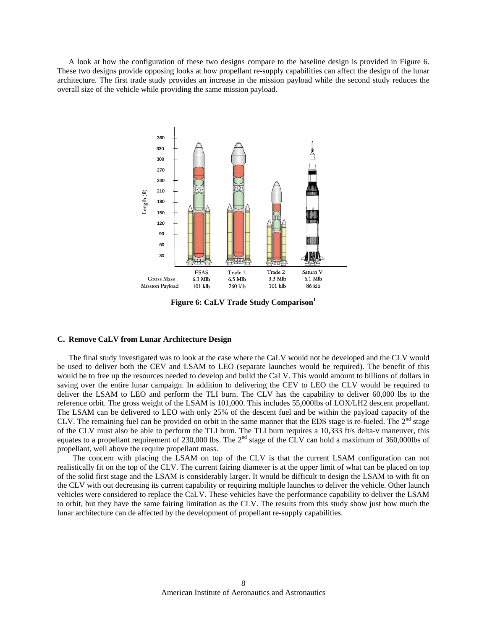A look at how the configuration of these two designs compare to the baseline design is provided in Figure 6. These two designs provide opposing looks at how propellant re-supply capabilities can affect the design of the lunar architecture. The first trade study provides an increase in the mission payload while the second study reduces the overall size of the vehicle while providing the same mission payload.



**Figure 6: CaLV Trade Study Comparison** 

### **C. Remove CaLV from Lunar Architecture Design**

The final study investigated was to look at the case where the CaLV would not be developed and the CLV would be used to deliver both the CEV and LSAM to LEO (separate launches would be required). The benefit of this would be to free up the resources needed to develop and build the CaLV. This would amount to billions of dollars in saving over the entire lunar campaign. In addition to delivering the CEV to LEO the CLV would be required to deliver the LSAM to LEO and perform the TLI burn. The CLV has the capability to deliver 60,000 lbs to the reference orbit. The gross weight of the LSAM is 101,000. This includes 55,000lbs of LOX/LH2 descent propellant. The LSAM can be delivered to LEO with only 25% of the descent fuel and be within the payload capacity of the CLV. The remaining fuel can be provided on orbit in the same manner that the EDS stage is re-fueled. The  $2<sup>nd</sup>$  stage of the CLV must also be able to perform the TLI burn. The TLI burn requires a 10,333 ft/s delta-v maneuver, this equates to a propellant requirement of 230,000 lbs. The  $2^{nd}$  stage of the CLV can hold a maximum of 360,000lbs of propellant, well above the require propellant mass.

 The concern with placing the LSAM on top of the CLV is that the current LSAM configuration can not realistically fit on the top of the CLV. The current fairing diameter is at the upper limit of what can be placed on top of the solid first stage and the LSAM is considerably larger. It would be difficult to design the LSAM to with fit on the CLV with out decreasing its current capability or requiring multiple launches to deliver the vehicle. Other launch vehicles were considered to replace the CaLV. These vehicles have the performance capability to deliver the LSAM to orbit, but they have the same fairing limitation as the CLV. The results from this study show just how much the lunar architecture can de affected by the development of propellant re-supply capabilities.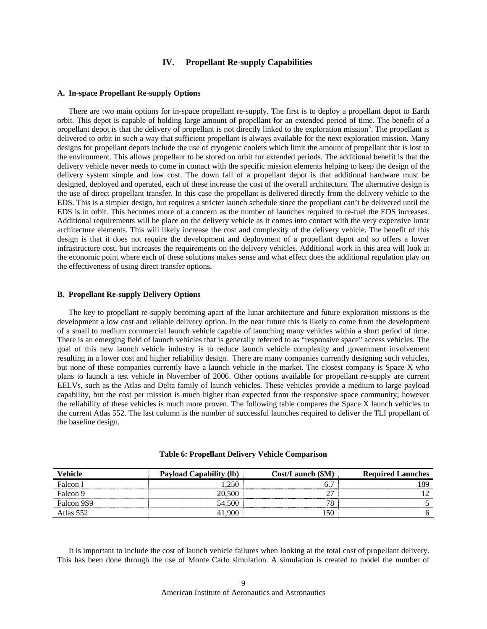### **IV. Propellant Re-supply Capabilities**

### **A. In-space Propellant Re-supply Options**

There are two main options for in-space propellant re-supply. The first is to deploy a propellant depot to Earth orbit. This depot is capable of holding large amount of propellant for an extended period of time. The benefit of a propellant depot is that the delivery of propellant is not directly linked to the exploration mission<sup>3</sup>. The propellant is delivered to orbit in such a way that sufficient propellant is always available for the next exploration mission. Many designs for propellant depots include the use of cryogenic coolers which limit the amount of propellant that is lost to the environment. This allows propellant to be stored on orbit for extended periods. The additional benefit is that the delivery vehicle never needs to come in contact with the specific mission elements helping to keep the design of the delivery system simple and low cost. The down fall of a propellant depot is that additional hardware must be designed, deployed and operated, each of these increase the cost of the overall architecture. The alternative design is the use of direct propellant transfer. In this case the propellant is delivered directly from the delivery vehicle to the EDS. This is a simpler design, but requires a stricter launch schedule since the propellant can't be delivered until the EDS is in orbit. This becomes more of a concern as the number of launches required to re-fuel the EDS increases. Additional requirements will be place on the delivery vehicle as it comes into contact with the very expensive lunar architecture elements. This will likely increase the cost and complexity of the delivery vehicle. The benefit of this design is that it does not require the development and deployment of a propellant depot and so offers a lower infrastructure cost, but increases the requirements on the delivery vehicles. Additional work in this area will look at the economic point where each of these solutions makes sense and what effect does the additional regulation play on the effectiveness of using direct transfer options.

### **B. Propellant Re-supply Delivery Options**

The key to propellant re-supply becoming apart of the lunar architecture and future exploration missions is the development a low cost and reliable delivery option. In the near future this is likely to come from the development of a small to medium commercial launch vehicle capable of launching many vehicles within a short period of time. There is an emerging field of launch vehicles that is generally referred to as "responsive space" access vehicles. The goal of this new launch vehicle industry is to reduce launch vehicle complexity and government involvement resulting in a lower cost and higher reliability design. There are many companies currently designing such vehicles, but none of these companies currently have a launch vehicle in the market. The closest company is Space X who plans to launch a test vehicle in November of 2006. Other options available for propellant re-supply are current EELVs, such as the Atlas and Delta family of launch vehicles. These vehicles provide a medium to large payload capability, but the cost per mission is much higher than expected from the responsive space community; however the reliability of these vehicles is much more proven. The following table compares the Space X launch vehicles to the current Atlas 552. The last column is the number of successful launches required to deliver the TLI propellant of the baseline design.

| Vehicle    | <b>Payload Capability (lb)</b> | Cost/Launch (\$M) | <b>Required Launches</b> |
|------------|--------------------------------|-------------------|--------------------------|
| Falcon I   | .250                           |                   | 89                       |
| Falcon 9   | 20.500                         | ∸                 |                          |
| Falcon 9S9 | 54.500                         | $\pi$             |                          |
| Atlas 552  | -900                           |                   |                          |

|  |  | Table 6: Propellant Delivery Vehicle Comparison |
|--|--|-------------------------------------------------|
|  |  |                                                 |

It is important to include the cost of launch vehicle failures when looking at the total cost of propellant delivery. This has been done through the use of Monte Carlo simulation. A simulation is created to model the number of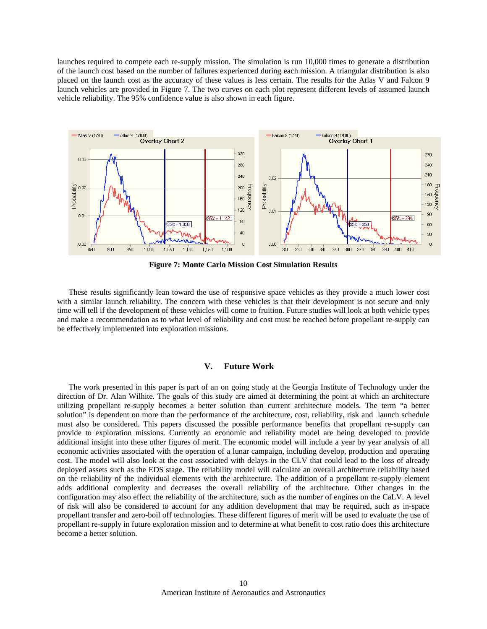launches required to compete each re-supply mission. The simulation is run 10,000 times to generate a distribution of the launch cost based on the number of failures experienced during each mission. A triangular distribution is also placed on the launch cost as the accuracy of these values is less certain. The results for the Atlas V and Falcon 9 launch vehicles are provided in Figure 7. The two curves on each plot represent different levels of assumed launch vehicle reliability. The 95% confidence value is also shown in each figure.



**Figure 7: Monte Carlo Mission Cost Simulation Results** 

These results significantly lean toward the use of responsive space vehicles as they provide a much lower cost with a similar launch reliability. The concern with these vehicles is that their development is not secure and only time will tell if the development of these vehicles will come to fruition. Future studies will look at both vehicle types and make a recommendation as to what level of reliability and cost must be reached before propellant re-supply can be effectively implemented into exploration missions.

## **V. Future Work**

The work presented in this paper is part of an on going study at the Georgia Institute of Technology under the direction of Dr. Alan Wilhite. The goals of this study are aimed at determining the point at which an architecture utilizing propellant re-supply becomes a better solution than current architecture models. The term "a better solution" is dependent on more than the performance of the architecture, cost, reliability, risk and launch schedule must also be considered. This papers discussed the possible performance benefits that propellant re-supply can provide to exploration missions. Currently an economic and reliability model are being developed to provide additional insight into these other figures of merit. The economic model will include a year by year analysis of all economic activities associated with the operation of a lunar campaign, including develop, production and operating cost. The model will also look at the cost associated with delays in the CLV that could lead to the loss of already deployed assets such as the EDS stage. The reliability model will calculate an overall architecture reliability based on the reliability of the individual elements with the architecture. The addition of a propellant re-supply element adds additional complexity and decreases the overall reliability of the architecture. Other changes in the configuration may also effect the reliability of the architecture, such as the number of engines on the CaLV. A level of risk will also be considered to account for any addition development that may be required, such as in-space propellant transfer and zero-boil off technologies. These different figures of merit will be used to evaluate the use of propellant re-supply in future exploration mission and to determine at what benefit to cost ratio does this architecture become a better solution.